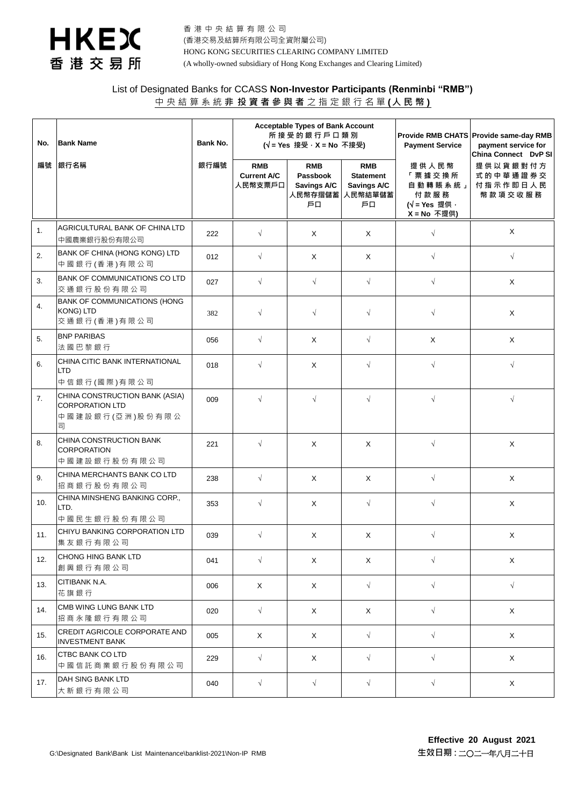

香 港 中 央 結 算 有 限 公 司 (香港交易及結算所有限公司全資附屬公司) HONG KONG SECURITIES CLEARING COMPANY LIMITED (A wholly-owned subsidiary of Hong Kong Exchanges and Clearing Limited)

## List of Designated Banks for CCASS **Non-Investor Participants (Renminbi "RMB")** 中央結算系統 **非 投 資 者 參 與 者** 之 指 定 銀 行 名 單 **(人民幣 )**

| No. | <b>Bank Name</b>                                                                                 | Bank No. | <b>Acceptable Types of Bank Account</b><br>所接受的銀行戶口類別<br>(√ = Yes 接受 · X = No 不接受) |                                                        | <b>Payment Service</b>                                         | Provide RMB CHATS Provide same-day RMB<br>payment service for<br>China Connect DvP SI |                                             |
|-----|--------------------------------------------------------------------------------------------------|----------|------------------------------------------------------------------------------------|--------------------------------------------------------|----------------------------------------------------------------|---------------------------------------------------------------------------------------|---------------------------------------------|
| 編號  | 銀行名稱                                                                                             | 銀行編號     | <b>RMB</b><br><b>Current A/C</b><br>人民幣支票戶口                                        | <b>RMB</b><br>Passbook<br>Savings A/C<br>人民幣存摺儲蓄<br>戶口 | <b>RMB</b><br><b>Statement</b><br>Savings A/C<br>人民幣結單儲蓄<br>戶口 | 提供人民幣<br>「票據交換所<br>自動轉賬系統」<br>付款服務<br>$(\sqrt{\ }$ = Yes 提供 ·<br>$X = No$ 不提供)        | 提供以貨銀對付方<br>式的中華通證券交<br>付指示作即日人民<br>幣款項交收服務 |
| 1.  | AGRICULTURAL BANK OF CHINA LTD<br>中國農業銀行股份有限公司                                                   | 222      | $\sqrt{ }$                                                                         | X                                                      | X                                                              | $\sqrt{}$                                                                             | X                                           |
| 2.  | BANK OF CHINA (HONG KONG) LTD<br>中國銀行(香港)有限公司                                                    | 012      | $\sqrt{ }$                                                                         | Χ                                                      | X                                                              | $\sqrt{}$                                                                             | $\sqrt{}$                                   |
| 3.  | BANK OF COMMUNICATIONS CO LTD<br>交通銀行股份有限公司                                                      | 027      | $\sqrt{ }$                                                                         | $\sqrt{}$                                              | $\sqrt{ }$                                                     | $\sqrt{}$                                                                             | X                                           |
| 4.  | <b>BANK OF COMMUNICATIONS (HONG</b><br>KONG) LTD<br>交通銀行(香港)有限公司                                 | 382      | $\sqrt{}$                                                                          | $\sqrt{}$                                              | $\sqrt{}$                                                      | $\sqrt{}$                                                                             | X                                           |
| 5.  | <b>BNP PARIBAS</b><br>法國巴黎銀行                                                                     | 056      | $\sqrt{ }$                                                                         | X                                                      | $\sqrt{ }$                                                     | $\mathsf X$                                                                           | X                                           |
| 6.  | CHINA CITIC BANK INTERNATIONAL<br><b>LTD</b>                                                     | 018      | $\sqrt{ }$                                                                         | X                                                      | $\sqrt{ }$                                                     | $\sqrt{}$                                                                             | $\sqrt{ }$                                  |
| 7.  | 中信銀行(國際)有限公司<br>CHINA CONSTRUCTION BANK (ASIA)<br><b>CORPORATION LTD</b><br>中國建設銀行(亞洲)股份有限公<br>司 | 009      | $\sqrt{2}$                                                                         | $\sqrt{2}$                                             | $\sqrt{ }$                                                     | $\sqrt{}$                                                                             | $\sqrt{ }$                                  |
| 8.  | CHINA CONSTRUCTION BANK<br><b>CORPORATION</b><br>中國建設銀行股份有限公司                                    | 221      | $\sqrt{ }$                                                                         | X                                                      | X                                                              | $\sqrt{ }$                                                                            | X                                           |
| 9.  | CHINA MERCHANTS BANK CO LTD<br>招商銀行股份有限公司                                                        | 238      | $\sqrt{ }$                                                                         | X                                                      | X                                                              | $\sqrt{ }$                                                                            | X                                           |
| 10. | CHINA MINSHENG BANKING CORP.,<br>LTD.<br>中國民生銀行股份有限公司                                            | 353      | $\sqrt{}$                                                                          | X                                                      | $\sqrt{}$                                                      | $\sqrt{}$                                                                             | X                                           |
| 11. | CHIYU BANKING CORPORATION LTD<br>集友銀行有限公司                                                        | 039      | $\sqrt{ }$                                                                         | X                                                      | X                                                              | $\sqrt{ }$                                                                            | X                                           |
| 12. | CHONG HING BANK LTD<br>創興銀行有限公司                                                                  | 041      | $\sqrt{ }$                                                                         | X                                                      | X                                                              | $\sqrt{}$                                                                             | X                                           |
| 13. | CITIBANK N.A.<br>花旗銀行                                                                            | 006      | Χ                                                                                  | X                                                      | $\sqrt{ }$                                                     | $\sqrt{}$                                                                             | $\sqrt{}$                                   |
| 14. | CMB WING LUNG BANK LTD<br>招商永隆銀行有限公司                                                             | 020      | $\sqrt{ }$                                                                         | X                                                      | X                                                              | $\sqrt{}$                                                                             | X                                           |
| 15. | CREDIT AGRICOLE CORPORATE AND<br><b>INVESTMENT BANK</b>                                          | 005      | X                                                                                  | X                                                      | $\sqrt{ }$                                                     | $\sqrt{}$                                                                             | X                                           |
| 16. | <b>CTBC BANK CO LTD</b><br>中國信託商業銀行股份有限公司                                                        | 229      | $\sqrt{ }$                                                                         | X                                                      | $\sqrt{ }$                                                     | $\sqrt{}$                                                                             | X                                           |
| 17. | DAH SING BANK LTD<br>大新銀行有限公司                                                                    | 040      | $\sqrt{ }$                                                                         | $\sqrt{ }$                                             | $\sqrt{ }$                                                     | $\sqrt{ }$                                                                            | X                                           |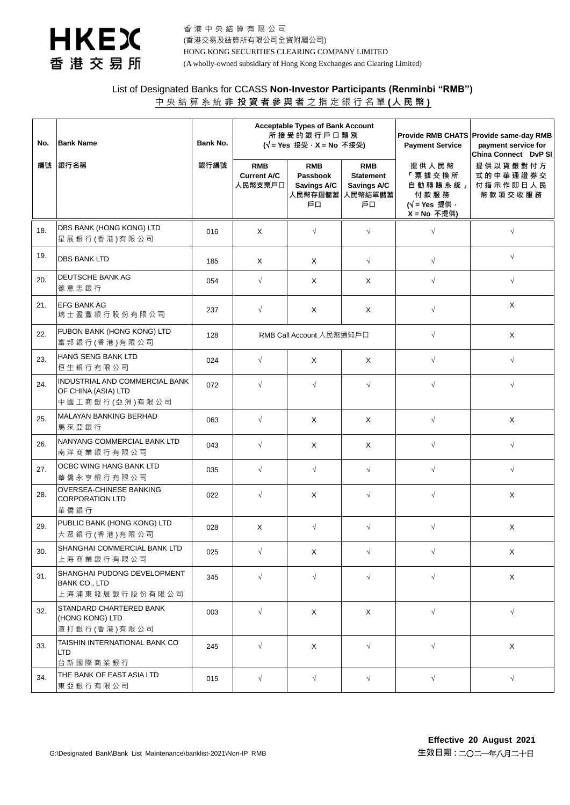

香 港 中 央 結 算 有 限 公 司 (香港交易及結算所有限公司全資附屬公司) HONG KONG SECURITIES CLEARING COMPANY LIMITED (A wholly-owned subsidiary of Hong Kong Exchanges and Clearing Limited)

## List of Designated Banks for CCASS **Non-Investor Participants (Renminbi "RMB")** 中央結算系統 **非 投 資 者 參 與 者** 之 指 定 銀 行 名 單 **(人民幣 )**

| No. | <b>Bank Name</b>                                                                   | Bank No. | <b>Acceptable Types of Bank Account</b><br>所接受的銀行戶口類別<br>$(\sqrt{ }$ = Yes 接受 $\cdot$ X = No 不接受) |                                                        |                                                                | <b>Payment Service</b>                                                         | Provide RMB CHATS Provide same-day RMB<br>payment service for<br>China Connect DvP SI |
|-----|------------------------------------------------------------------------------------|----------|---------------------------------------------------------------------------------------------------|--------------------------------------------------------|----------------------------------------------------------------|--------------------------------------------------------------------------------|---------------------------------------------------------------------------------------|
| 編號  | 銀行名稱                                                                               | 銀行編號     | <b>RMB</b><br><b>Current A/C</b><br>人民幣支票戶口                                                       | <b>RMB</b><br>Passbook<br>Savings A/C<br>人民幣存摺儲蓄<br>戶口 | <b>RMB</b><br><b>Statement</b><br>Savings A/C<br>人民幣結單儲蓄<br>戶口 | 提供人民幣<br>「票據交換所<br>自動轉賬系統」<br>付款服務<br>$(\sqrt{\ }$ = Yes 提供 ·<br>$X = No$ 不提供) | 提供以貨銀對付方<br>式的中華通證券交<br>付指示作即日人民<br>幣款項交收服務                                           |
| 18. | DBS BANK (HONG KONG) LTD<br>星展銀行(香港)有限公司                                           | 016      | $\times$                                                                                          | $\sqrt{}$                                              | $\sqrt{}$                                                      | $\sqrt{ }$                                                                     | $\sqrt{}$                                                                             |
| 19. | <b>DBS BANK LTD</b>                                                                | 185      | Χ                                                                                                 | X                                                      | $\sqrt{}$                                                      | $\sqrt{}$                                                                      | $\sqrt{ }$                                                                            |
| 20. | <b>DEUTSCHE BANK AG</b><br>德意志銀行                                                   | 054      | $\sqrt{ }$                                                                                        | X                                                      | X                                                              | $\sqrt{}$                                                                      | $\sqrt{ }$                                                                            |
| 21. | <b>EFG BANK AG</b><br>瑞士盈豐銀行股份有限公司                                                 | 237      | $\sqrt{}$                                                                                         | X                                                      | X                                                              | $\sqrt{}$                                                                      | X                                                                                     |
| 22. | FUBON BANK (HONG KONG) LTD<br>富邦銀行(香港)有限公司                                         | 128      | RMB Call Account 人民幣通知戶口                                                                          |                                                        |                                                                | $\sqrt{}$                                                                      | X                                                                                     |
| 23. | <b>HANG SENG BANK LTD</b><br>恒生銀行有限公司                                              | 024      | $\sqrt{ }$                                                                                        | X                                                      | X                                                              | $\sqrt{}$                                                                      | $\sqrt{}$                                                                             |
| 24. | INDUSTRIAL AND COMMERCIAL BANK<br>OF CHINA (ASIA) LTD<br>中國工商銀行(亞洲)有限公司            | 072      | $\sqrt{ }$                                                                                        | $\sqrt{ }$                                             | $\sqrt{2}$                                                     | $\sqrt{2}$                                                                     | $\sqrt{ }$                                                                            |
| 25. | <b>MALAYAN BANKING BERHAD</b><br>馬來亞銀行                                             | 063      | $\sqrt{ }$                                                                                        | X                                                      | X                                                              | $\sqrt{2}$                                                                     | X                                                                                     |
| 26. | NANYANG COMMERCIAL BANK LTD<br>南洋商業銀行有限公司                                          | 043      | $\sqrt{ }$                                                                                        | X                                                      | X                                                              | $\sqrt{}$                                                                      | $\sqrt{}$                                                                             |
| 27. | OCBC WING HANG BANK LTD<br>華 僑 永 亨 銀 行 有 限 公 司                                     | 035      | $\sqrt{}$                                                                                         | $\sqrt{}$                                              | $\sqrt{}$                                                      | $\sqrt{}$                                                                      | $\sqrt{}$                                                                             |
| 28. | OVERSEA-CHINESE BANKING<br><b>CORPORATION LTD</b><br>華僑銀行                          | 022      | $\sqrt{}$                                                                                         | X                                                      | $\sqrt{}$                                                      | $\sqrt{}$                                                                      | X                                                                                     |
| 29. | PUBLIC BANK (HONG KONG) LTD<br>大眾銀行(香港)有限公司                                        | 028      | X                                                                                                 | $\sqrt{}$                                              | $\sqrt{}$                                                      | $\sqrt{}$                                                                      | X                                                                                     |
| 30. | SHANGHAI COMMERCIAL BANK LTD<br>上海商業銀行有限公司                                         | 025      | $\sqrt{}$                                                                                         | X                                                      | $\sqrt{}$                                                      | $\sqrt{}$                                                                      | X                                                                                     |
| 31. | SHANGHAI PUDONG DEVELOPMENT<br><b>BANK CO., LTD</b><br>上 海 浦 東 發 展 銀 行 股 份 有 限 公 司 | 345      | $\sqrt{ }$                                                                                        | $\sqrt{}$                                              | $\sqrt{}$                                                      | $\sqrt{}$                                                                      | X                                                                                     |
| 32. | STANDARD CHARTERED BANK<br>(HONG KONG) LTD<br>渣打銀行(香港)有限公司                         | 003      | $\sqrt{ }$                                                                                        | X                                                      | X                                                              | $\sqrt{}$                                                                      | $\sqrt{ }$                                                                            |
| 33. | TAISHIN INTERNATIONAL BANK CO<br><b>LTD</b><br>台新國際商業銀行                            | 245      | $\sqrt{ }$                                                                                        | X                                                      | $\sqrt{ }$                                                     | $\sqrt{}$                                                                      | X                                                                                     |
| 34. | THE BANK OF EAST ASIA LTD<br>東亞銀行有限公司                                              | 015      | $\sqrt{ }$                                                                                        | $\sqrt{ }$                                             | $\sqrt{}$                                                      | $\sqrt{}$                                                                      | $\sqrt{ }$                                                                            |